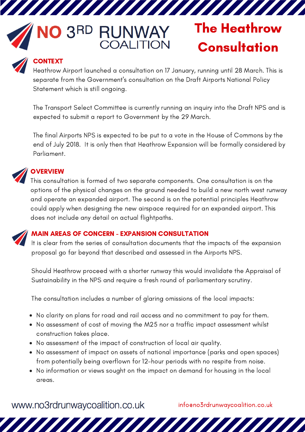# NO 3RD **RUNWAY**<br>COALITION

77777777777

# The Heathrow **Consultation**

## **CONTEXT**

Heathrow Airport launched a consultation on 17 January, running until 28 March. This is separate from the Government's consultation on the Draft Airports National Policy Statement which is still ongoing.

The Transport Select Committee is currently running an inquiry into the Draft NPS and is expected to submit a report to Government by the 29 March.

The final Airports NPS is expected to be put to a vote in the House of Commons by the end of July 2018. It is only then that Heathrow Expansion will be formally considered by Parliament.

# **OVERVIEW**

This consultation is formed of two separate components. One consultation is on the options of the physical changes on the ground needed to build a new north west runway and operate an expanded airport. The second is on the potential principles Heathrow could apply when designing the new airspace required for an expanded airport. This does not include any detail on actual flightpaths.

#### MAIN AREAS OF CONCERN - EXPANSION CONSULTATION

It is clear from the series of consultation documents that the impacts of the expansion proposal go far beyond that described and assessed in the Airports NPS.

Should Heathrow proceed with a shorter runway this would invalidate the Appraisal of Sustainability in the NPS and require a fresh round of parliamentary scrutiny.

The consultation includes a number of glaring omissions of the local impacts:

- No clarity on plans for road and rail access and no commitment to pay for them.
- No assessment of cost of moving the M25 nor a traffic impact assessment whilst construction takes place.
- No assessment of the impact of construction of local air quality.
- No assessment of impact on assets of national importance (parks and open spaces) from potentially being overflown for 12-hour periods with no respite from noise.
- No information or views sought on the impact on demand for housing in the local areas.

www.no3rdrunwaycoalition.co.uk

info@no3rdrunwaycoalition.co.uk